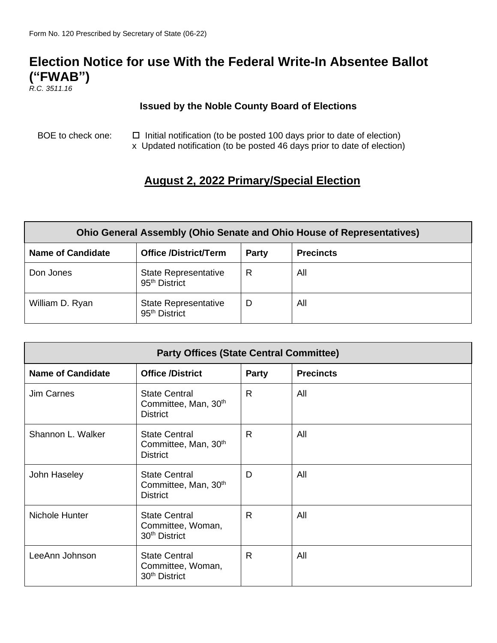## **Election Notice for use With the Federal Write-In Absentee Ballot ("FWAB")**

*R.C. 3511.16*

## **Issued by the Noble County Board of Elections**

BOE to check one:  $\Box$  Initial notification (to be posted 100 days prior to date of election) x Updated notification (to be posted 46 days prior to date of election)

## **August 2, 2022 Primary/Special Election**

| <b>Ohio General Assembly (Ohio Senate and Ohio House of Representatives)</b> |                                                          |       |                  |  |  |  |
|------------------------------------------------------------------------------|----------------------------------------------------------|-------|------------------|--|--|--|
| <b>Name of Candidate</b>                                                     | <b>Office /District/Term</b>                             | Party | <b>Precincts</b> |  |  |  |
| Don Jones                                                                    | <b>State Representative</b><br>95 <sup>th</sup> District | R     | All              |  |  |  |
| William D. Ryan                                                              | <b>State Representative</b><br>95 <sup>th</sup> District | D     | All              |  |  |  |

| <b>Party Offices (State Central Committee)</b> |                                                                             |              |                  |  |  |
|------------------------------------------------|-----------------------------------------------------------------------------|--------------|------------------|--|--|
| <b>Name of Candidate</b>                       | <b>Office /District</b>                                                     | <b>Party</b> | <b>Precincts</b> |  |  |
| <b>Jim Carnes</b>                              | <b>State Central</b><br>Committee, Man, 30 <sup>th</sup><br><b>District</b> | $\mathsf{R}$ | All              |  |  |
| Shannon L. Walker                              | <b>State Central</b><br>Committee, Man, 30 <sup>th</sup><br><b>District</b> | $\mathsf{R}$ | All              |  |  |
| John Haseley                                   | <b>State Central</b><br>Committee, Man, 30 <sup>th</sup><br><b>District</b> | D            | All              |  |  |
| Nichole Hunter                                 | <b>State Central</b><br>Committee, Woman,<br>30 <sup>th</sup> District      | $\mathsf{R}$ | All              |  |  |
| LeeAnn Johnson                                 | <b>State Central</b><br>Committee, Woman,<br>30 <sup>th</sup> District      | R.           | All              |  |  |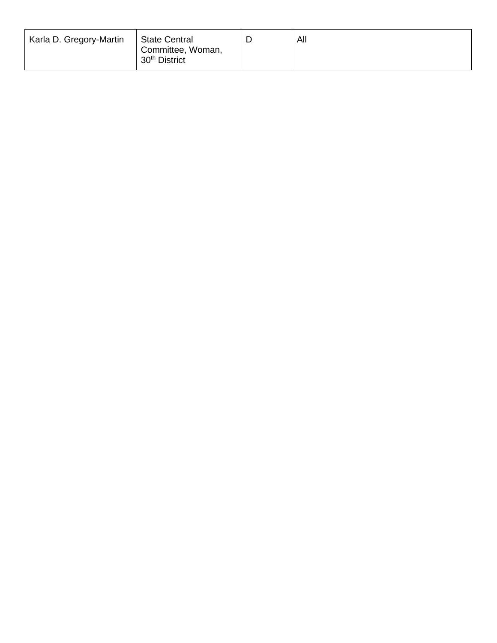| Karla D. Gregory-Martin | <b>State Central</b><br>Committee, Woman,<br>30 <sup>th</sup> District | All |
|-------------------------|------------------------------------------------------------------------|-----|
|                         |                                                                        |     |